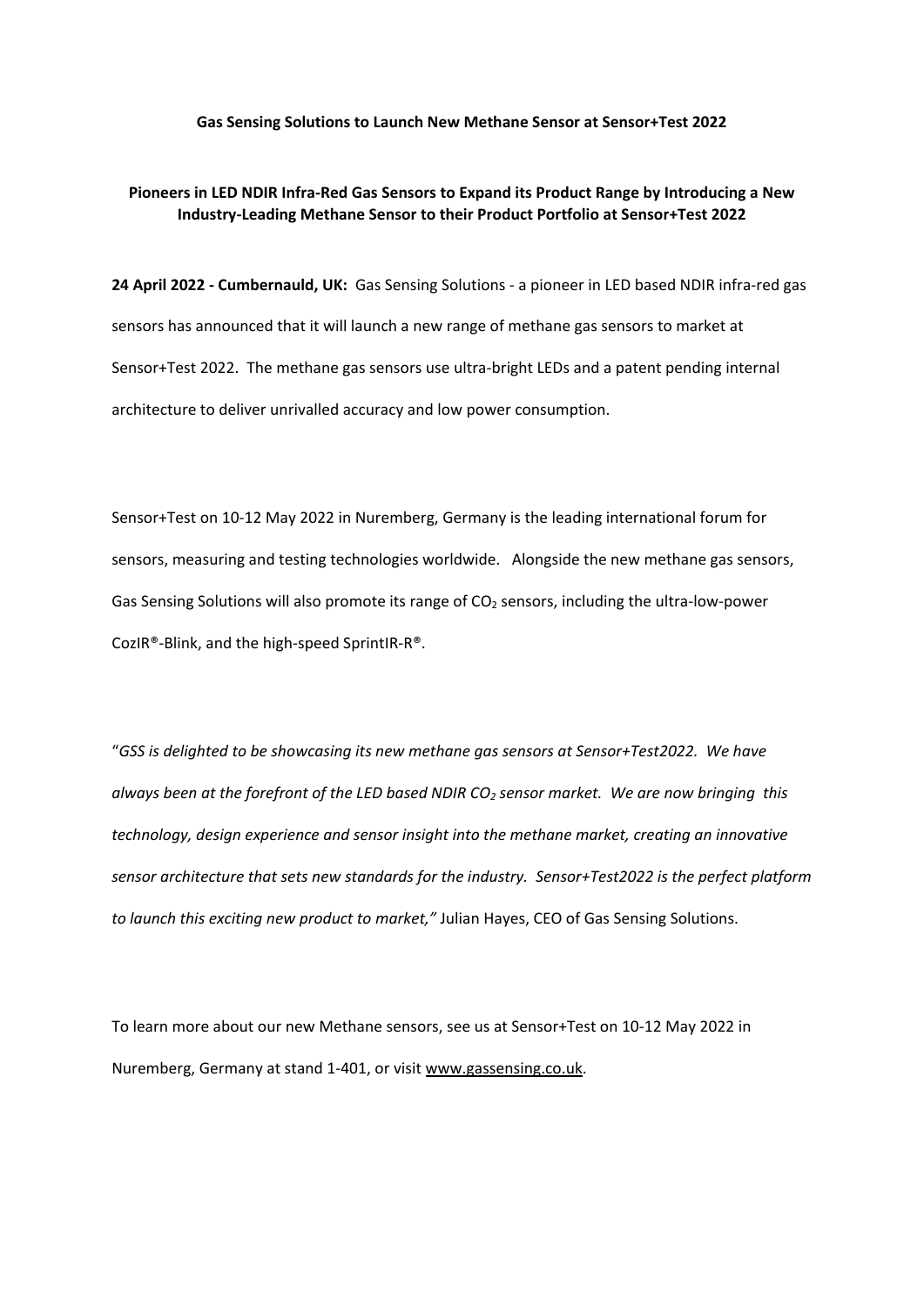## **Gas Sensing Solutions to Launch New Methane Sensor at Sensor+Test 2022**

## **Pioneers in LED NDIR Infra-Red Gas Sensors to Expand its Product Range by Introducing a New Industry-Leading Methane Sensor to their Product Portfolio at Sensor+Test 2022**

**24 April 2022 - Cumbernauld, UK:** Gas Sensing Solutions - a pioneer in LED based NDIR infra-red gas sensors has announced that it will launch a new range of methane gas sensors to market at Sensor+Test 2022. The methane gas sensors use ultra-bright LEDs and a patent pending internal architecture to deliver unrivalled accuracy and low power consumption.

Sensor+Test on 10-12 May 2022 in Nuremberg, Germany is the leading international forum for sensors, measuring and testing technologies worldwide. Alongside the new methane gas sensors, Gas Sensing Solutions will also promote its range of CO<sub>2</sub> sensors, including the ultra-low-power CozIR®-Blink, and the high-speed SprintIR-R®.

"*GSS is delighted to be showcasing its new methane gas sensors at Sensor+Test2022. We have always been at the forefront of the LED based NDIR CO2 sensor market. We are now bringing this technology, design experience and sensor insight into the methane market, creating an innovative sensor architecture that sets new standards for the industry. Sensor+Test2022 is the perfect platform to launch this exciting new product to market,"* Julian Hayes, CEO of Gas Sensing Solutions.

To learn more about our new Methane sensors, see us at Sensor+Test on 10-12 May 2022 in Nuremberg, Germany at stand 1-401, or visit [www.gassensing.co.uk.](http://www.gassensing.co.uk/)